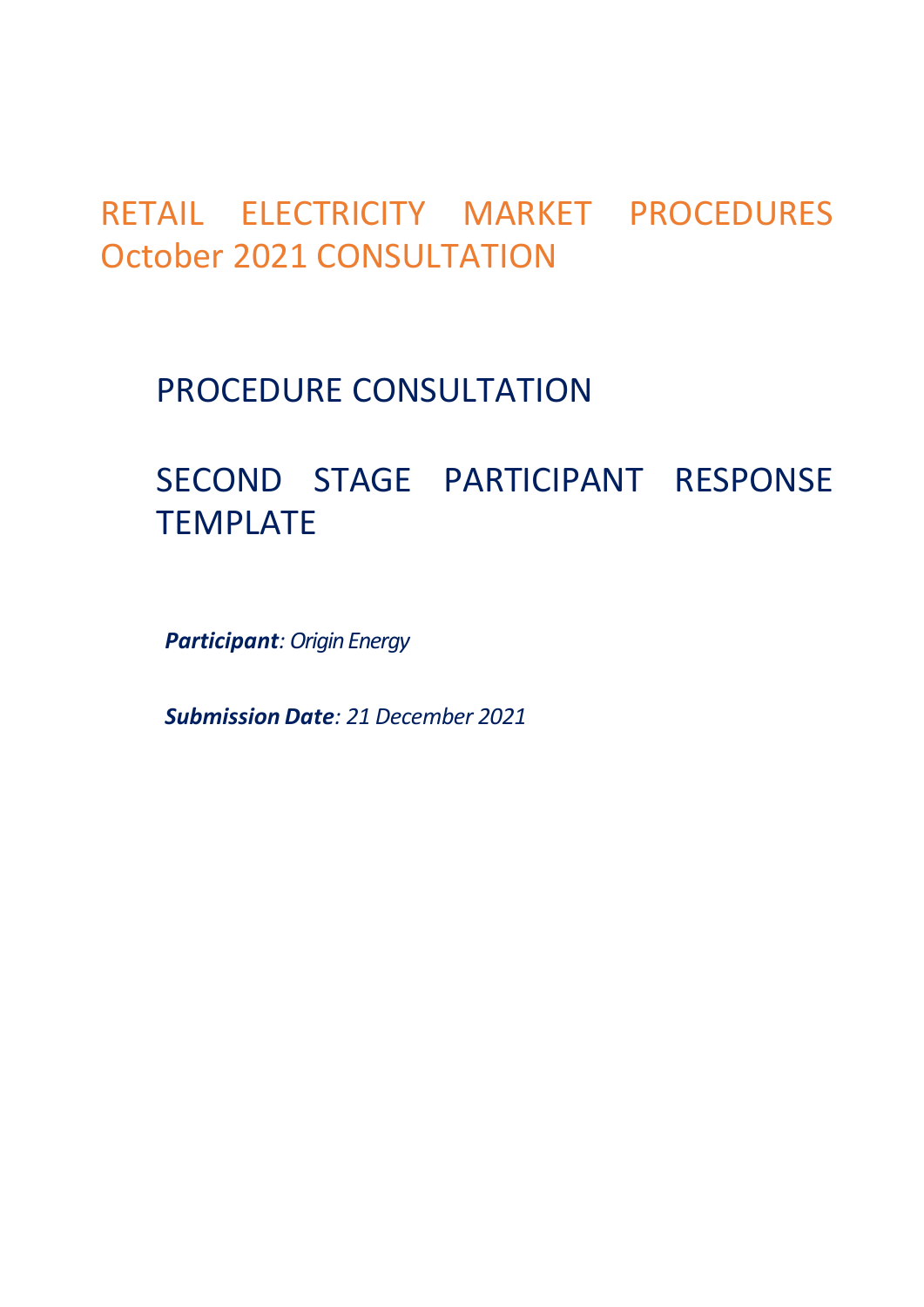## RETAIL ELECTRICITY MARKET PROCEDURES October 2021 CONSULTATION

## PROCEDURE CONSULTATION

# SECOND STAGE PARTICIPANT RESPONSE TEMPLATE

*Participant: Origin Energy*

*Submission Date: 21 December 2021*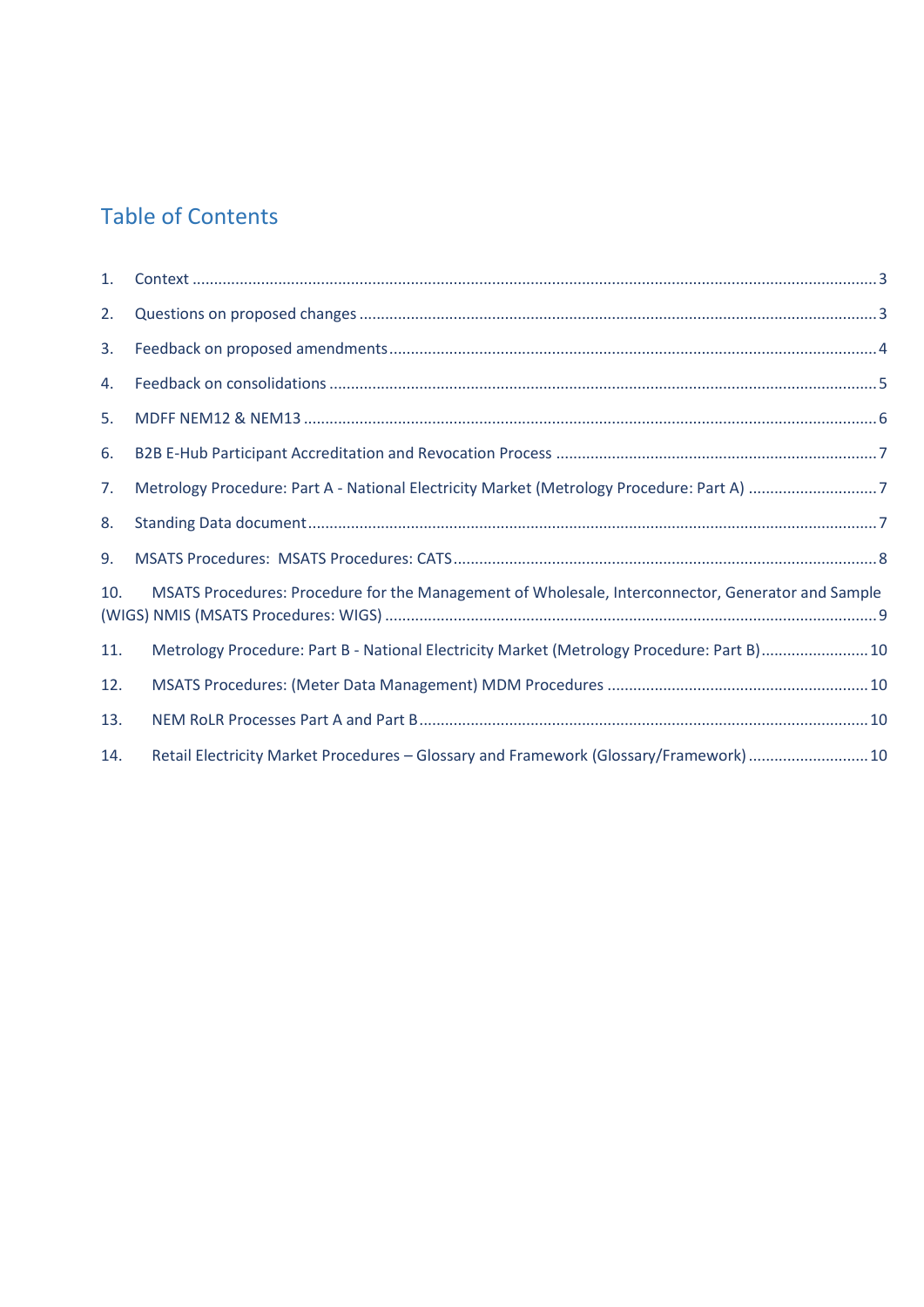#### Table of Contents

| 1.  |                                                                                                   |  |
|-----|---------------------------------------------------------------------------------------------------|--|
| 2.  |                                                                                                   |  |
| 3.  |                                                                                                   |  |
| 4.  |                                                                                                   |  |
| 5.  |                                                                                                   |  |
| 6.  |                                                                                                   |  |
| 7.  |                                                                                                   |  |
| 8.  |                                                                                                   |  |
| 9.  |                                                                                                   |  |
| 10. | MSATS Procedures: Procedure for the Management of Wholesale, Interconnector, Generator and Sample |  |
| 11. | Metrology Procedure: Part B - National Electricity Market (Metrology Procedure: Part B)10         |  |
| 12. |                                                                                                   |  |
| 13. |                                                                                                   |  |
| 14. | Retail Electricity Market Procedures - Glossary and Framework (Glossary/Framework) 10             |  |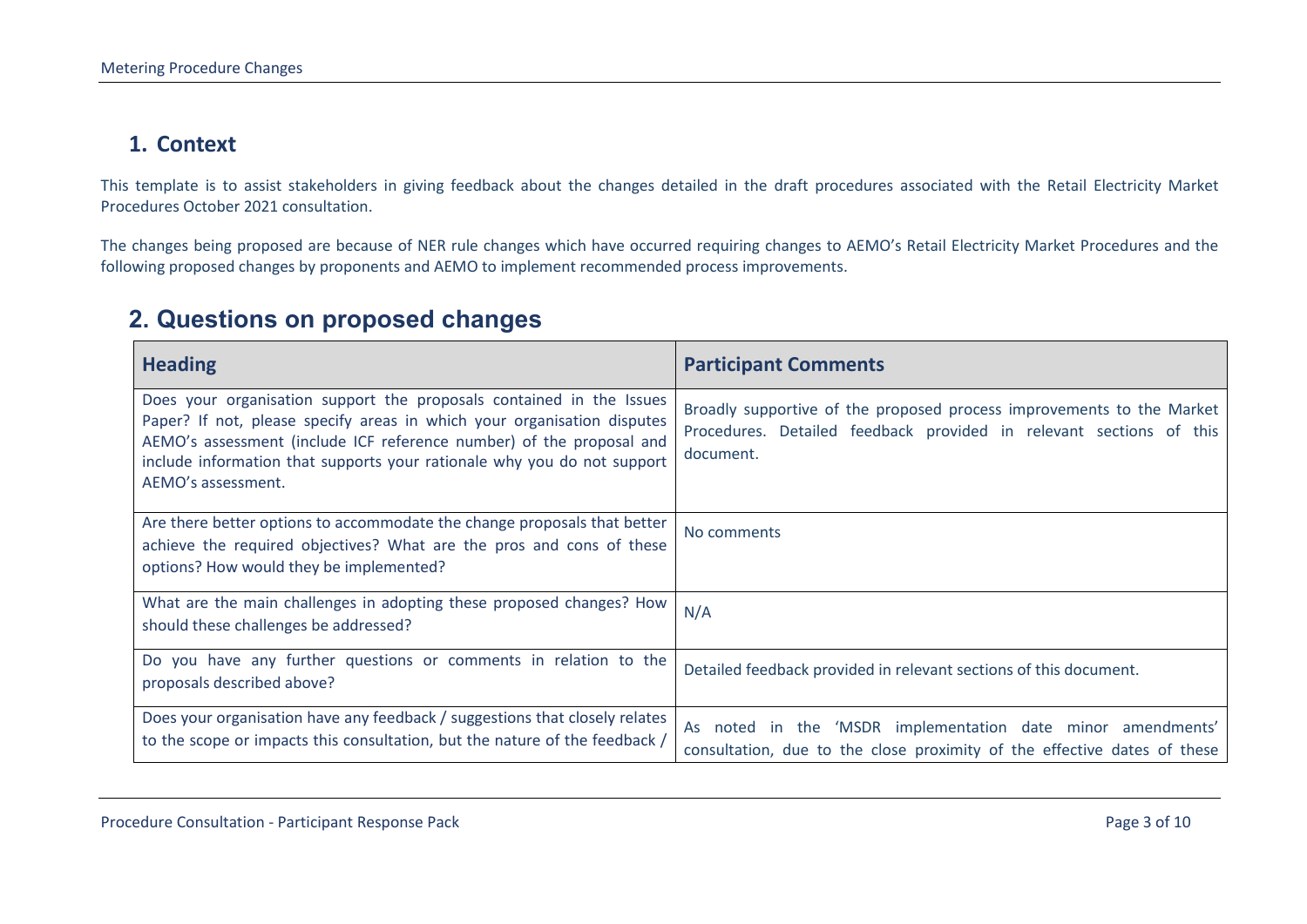#### **1. Context**

This template is to assist stakeholders in giving feedback about the changes detailed in the draft procedures associated with the Retail Electricity Market Procedures October 2021 consultation.

The changes being proposed are because of NER rule changes which have occurred requiring changes to AEMO's Retail Electricity Market Procedures and the following proposed changes by proponents and AEMO to implement recommended process improvements.

#### **2. Questions on proposed changes**

<span id="page-2-1"></span><span id="page-2-0"></span>

| <b>Heading</b>                                                                                                                                                                                                                                                                                                           | <b>Participant Comments</b>                                                                                                                               |
|--------------------------------------------------------------------------------------------------------------------------------------------------------------------------------------------------------------------------------------------------------------------------------------------------------------------------|-----------------------------------------------------------------------------------------------------------------------------------------------------------|
| Does your organisation support the proposals contained in the Issues<br>Paper? If not, please specify areas in which your organisation disputes<br>AEMO's assessment (include ICF reference number) of the proposal and<br>include information that supports your rationale why you do not support<br>AEMO's assessment. | Broadly supportive of the proposed process improvements to the Market<br>Procedures. Detailed feedback provided in relevant sections of this<br>document. |
| Are there better options to accommodate the change proposals that better<br>achieve the required objectives? What are the pros and cons of these<br>options? How would they be implemented?                                                                                                                              | No comments                                                                                                                                               |
| What are the main challenges in adopting these proposed changes? How<br>should these challenges be addressed?                                                                                                                                                                                                            | N/A                                                                                                                                                       |
| Do you have any further questions or comments in relation to the<br>proposals described above?                                                                                                                                                                                                                           | Detailed feedback provided in relevant sections of this document.                                                                                         |
| Does your organisation have any feedback / suggestions that closely relates<br>to the scope or impacts this consultation, but the nature of the feedback /                                                                                                                                                               | As noted in the 'MSDR implementation date minor amendments'<br>consultation, due to the close proximity of the effective dates of these                   |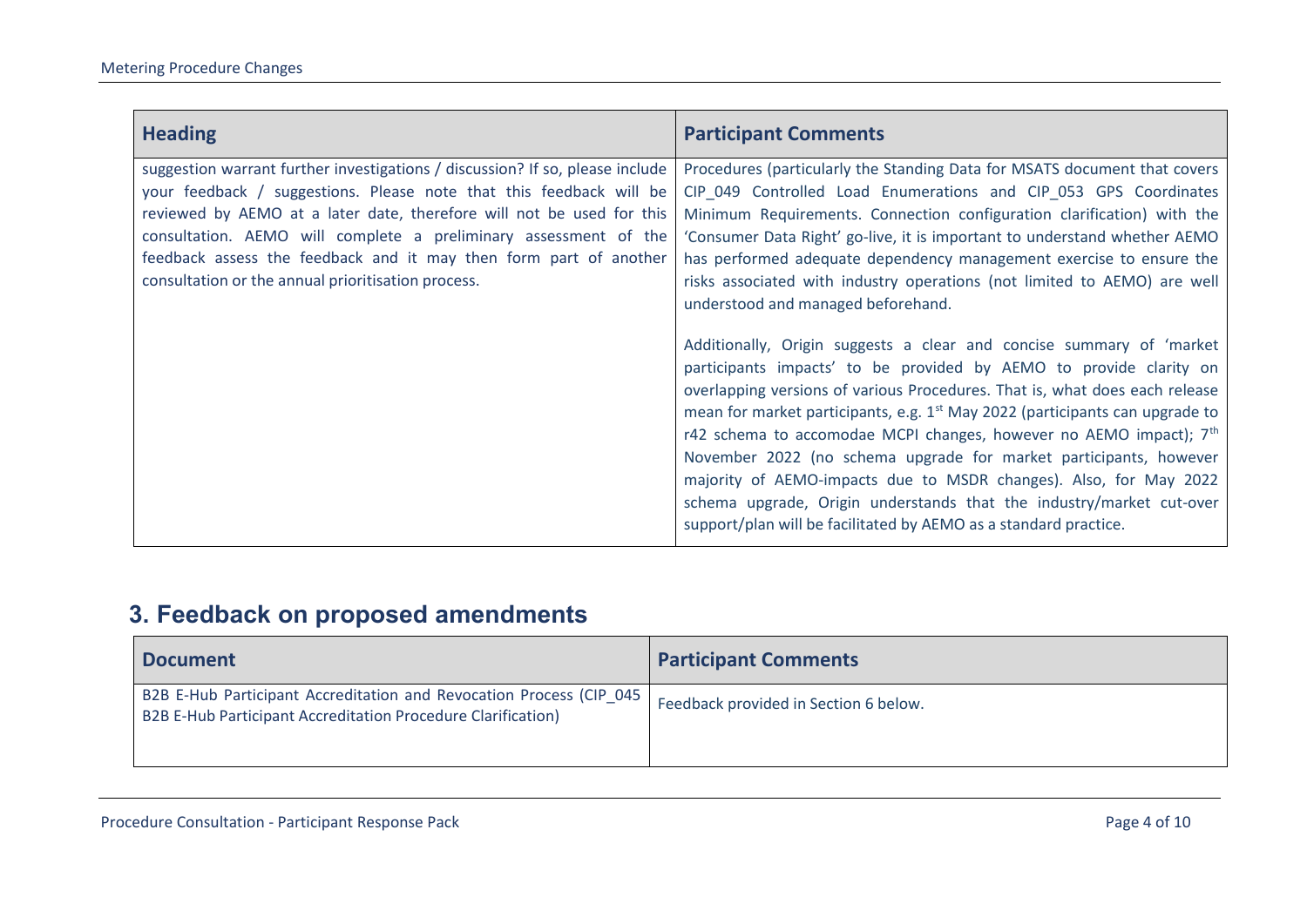| <b>Heading</b>                                                                                                                                                                                                                                                                                                                                                                                                               | <b>Participant Comments</b>                                                                                                                                                                                                                                                                                                                                                                                                                                                                                                                                                                                                                                                                                                                                                                                                                                                                                                                                                                                                                                                                                                                                                                    |
|------------------------------------------------------------------------------------------------------------------------------------------------------------------------------------------------------------------------------------------------------------------------------------------------------------------------------------------------------------------------------------------------------------------------------|------------------------------------------------------------------------------------------------------------------------------------------------------------------------------------------------------------------------------------------------------------------------------------------------------------------------------------------------------------------------------------------------------------------------------------------------------------------------------------------------------------------------------------------------------------------------------------------------------------------------------------------------------------------------------------------------------------------------------------------------------------------------------------------------------------------------------------------------------------------------------------------------------------------------------------------------------------------------------------------------------------------------------------------------------------------------------------------------------------------------------------------------------------------------------------------------|
| suggestion warrant further investigations / discussion? If so, please include<br>your feedback / suggestions. Please note that this feedback will be<br>reviewed by AEMO at a later date, therefore will not be used for this<br>consultation. AEMO will complete a preliminary assessment of the<br>feedback assess the feedback and it may then form part of another<br>consultation or the annual prioritisation process. | Procedures (particularly the Standing Data for MSATS document that covers<br>CIP_049 Controlled Load Enumerations and CIP_053 GPS Coordinates<br>Minimum Requirements. Connection configuration clarification) with the<br>'Consumer Data Right' go-live, it is important to understand whether AEMO<br>has performed adequate dependency management exercise to ensure the<br>risks associated with industry operations (not limited to AEMO) are well<br>understood and managed beforehand.<br>Additionally, Origin suggests a clear and concise summary of 'market<br>participants impacts' to be provided by AEMO to provide clarity on<br>overlapping versions of various Procedures. That is, what does each release<br>mean for market participants, e.g. 1 <sup>st</sup> May 2022 (participants can upgrade to<br>r42 schema to accomodae MCPI changes, however no AEMO impact); 7 <sup>th</sup><br>November 2022 (no schema upgrade for market participants, however<br>majority of AEMO-impacts due to MSDR changes). Also, for May 2022<br>schema upgrade, Origin understands that the industry/market cut-over<br>support/plan will be facilitated by AEMO as a standard practice. |

## **3. Feedback on proposed amendments**

<span id="page-3-0"></span>

| <b>Document</b>                                                                                                                      | <b>Participant Comments</b>           |
|--------------------------------------------------------------------------------------------------------------------------------------|---------------------------------------|
| B2B E-Hub Participant Accreditation and Revocation Process (CIP_045)<br>B2B E-Hub Participant Accreditation Procedure Clarification) | Feedback provided in Section 6 below. |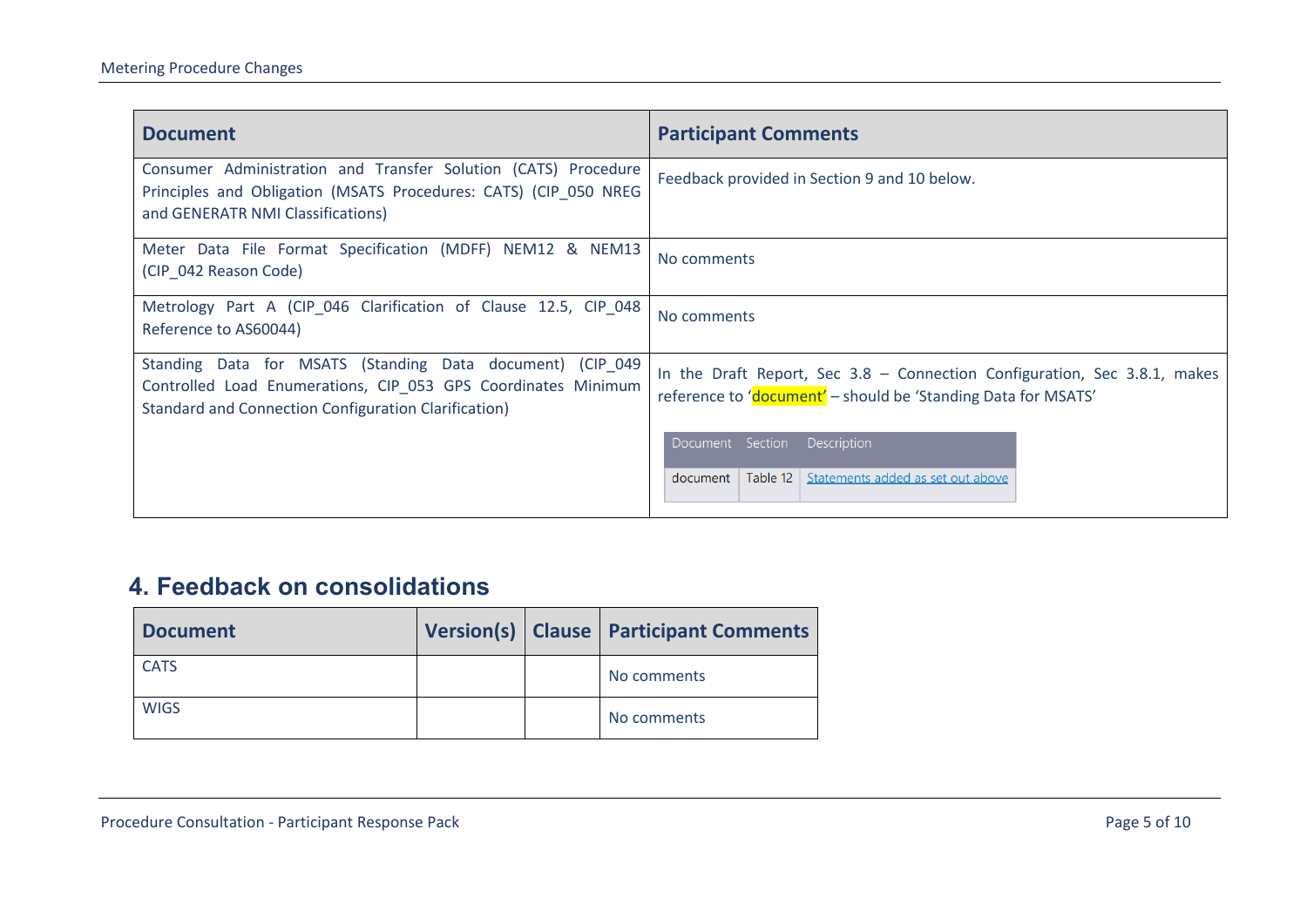| <b>Document</b>                                                                                                                                                                           | <b>Participant Comments</b>                                                                                                                     |
|-------------------------------------------------------------------------------------------------------------------------------------------------------------------------------------------|-------------------------------------------------------------------------------------------------------------------------------------------------|
| Consumer Administration and Transfer Solution (CATS) Procedure<br>Principles and Obligation (MSATS Procedures: CATS) (CIP 050 NREG<br>and GENERATR NMI Classifications)                   | Feedback provided in Section 9 and 10 below.                                                                                                    |
| Meter Data File Format Specification (MDFF) NEM12 & NEM13<br>(CIP 042 Reason Code)                                                                                                        | No comments                                                                                                                                     |
| Metrology Part A (CIP_046 Clarification of Clause 12.5, CIP_048<br>Reference to AS60044)                                                                                                  | No comments                                                                                                                                     |
| Standing Data for MSATS (Standing Data document) (CIP_049<br>Controlled Load Enumerations, CIP_053 GPS Coordinates Minimum<br><b>Standard and Connection Configuration Clarification)</b> | In the Draft Report, Sec $3.8$ - Connection Configuration, Sec $3.8.1$ , makes<br>reference to 'document' - should be 'Standing Data for MSATS' |
|                                                                                                                                                                                           | Document Section Description<br>document   Table 12   Statements added as set out above                                                         |

### **4. Feedback on consolidations**

<span id="page-4-0"></span>

| <b>Document</b> |  | Version(s)   Clause   Participant Comments |
|-----------------|--|--------------------------------------------|
| <b>CATS</b>     |  | No comments                                |
| <b>WIGS</b>     |  | No comments                                |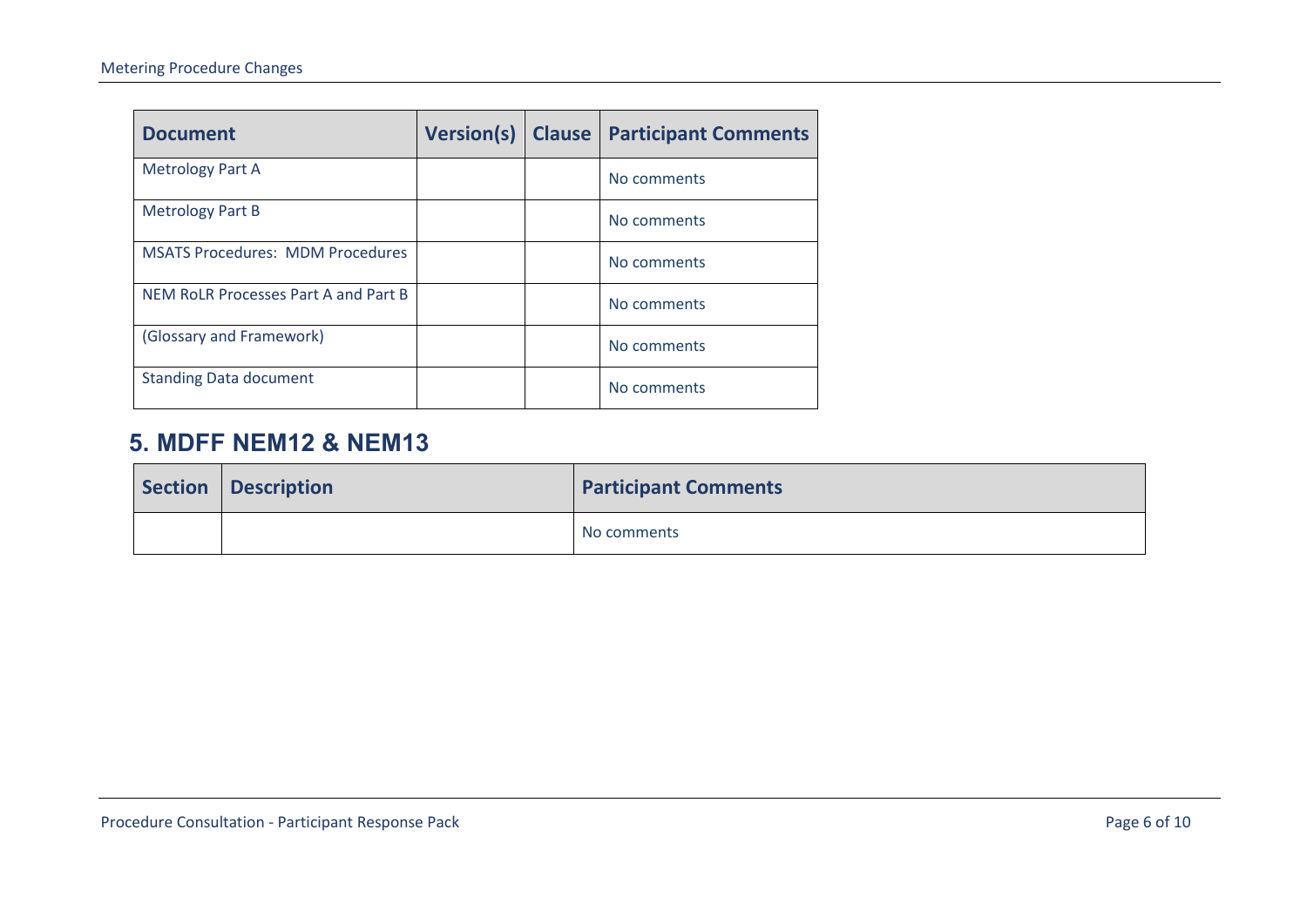| <b>Document</b>                         | <b>Version(s)</b> | <b>Clause</b> | <b>Participant Comments</b> |
|-----------------------------------------|-------------------|---------------|-----------------------------|
| <b>Metrology Part A</b>                 |                   |               | No comments                 |
| <b>Metrology Part B</b>                 |                   |               | No comments                 |
| <b>MSATS Procedures: MDM Procedures</b> |                   |               | No comments                 |
| NEM RoLR Processes Part A and Part B    |                   |               | No comments                 |
| (Glossary and Framework)                |                   |               | No comments                 |
| <b>Standing Data document</b>           |                   |               | No comments                 |

#### **5. MDFF NEM12 & NEM13**

<span id="page-5-0"></span>

| Section   Description | <b>Participant Comments</b> |
|-----------------------|-----------------------------|
|                       | No comments                 |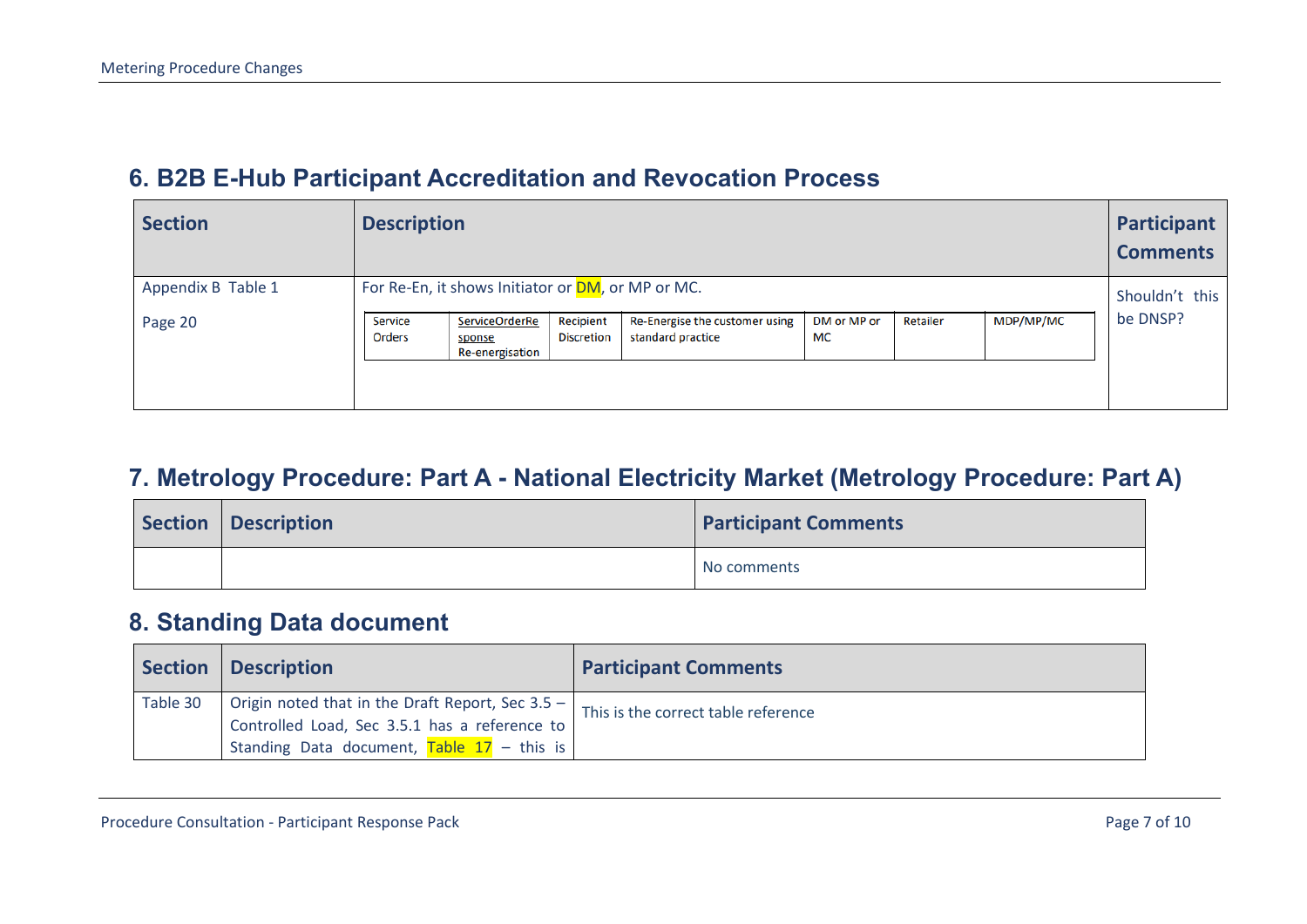#### **6. B2B E-Hub Participant Accreditation and Revocation Process**

| <b>Section</b>                | <b>Description</b>                                                                                                                                                                                                                                                                |                            |  |
|-------------------------------|-----------------------------------------------------------------------------------------------------------------------------------------------------------------------------------------------------------------------------------------------------------------------------------|----------------------------|--|
| Appendix B Table 1<br>Page 20 | For Re-En, it shows Initiator or DM, or MP or MC.<br>MDP/MP/MC<br>Recipient<br>Re-Energise the customer using<br>DM or MP or<br><b>ServiceOrderRe</b><br>Retailer<br>Service<br>standard practice<br><b>MC</b><br>Orders<br><b>Discretion</b><br>sponse<br><b>Re-energisation</b> | Shouldn't this<br>be DNSP? |  |

#### **7. Metrology Procedure: Part A - National Electricity Market (Metrology Procedure: Part A)**

<span id="page-6-0"></span>

| Section   Description | <b>Participant Comments</b> |
|-----------------------|-----------------------------|
|                       | No comments                 |

#### **8. Standing Data document**

<span id="page-6-2"></span><span id="page-6-1"></span>

| Section  | Description                                                                                         | <b>Participant Comments</b>         |
|----------|-----------------------------------------------------------------------------------------------------|-------------------------------------|
| Table 30 | Origin noted that in the Draft Report, Sec $3.5 -$<br>Controlled Load, Sec 3.5.1 has a reference to | This is the correct table reference |
|          | Standing Data document, Table $17 -$ this is                                                        |                                     |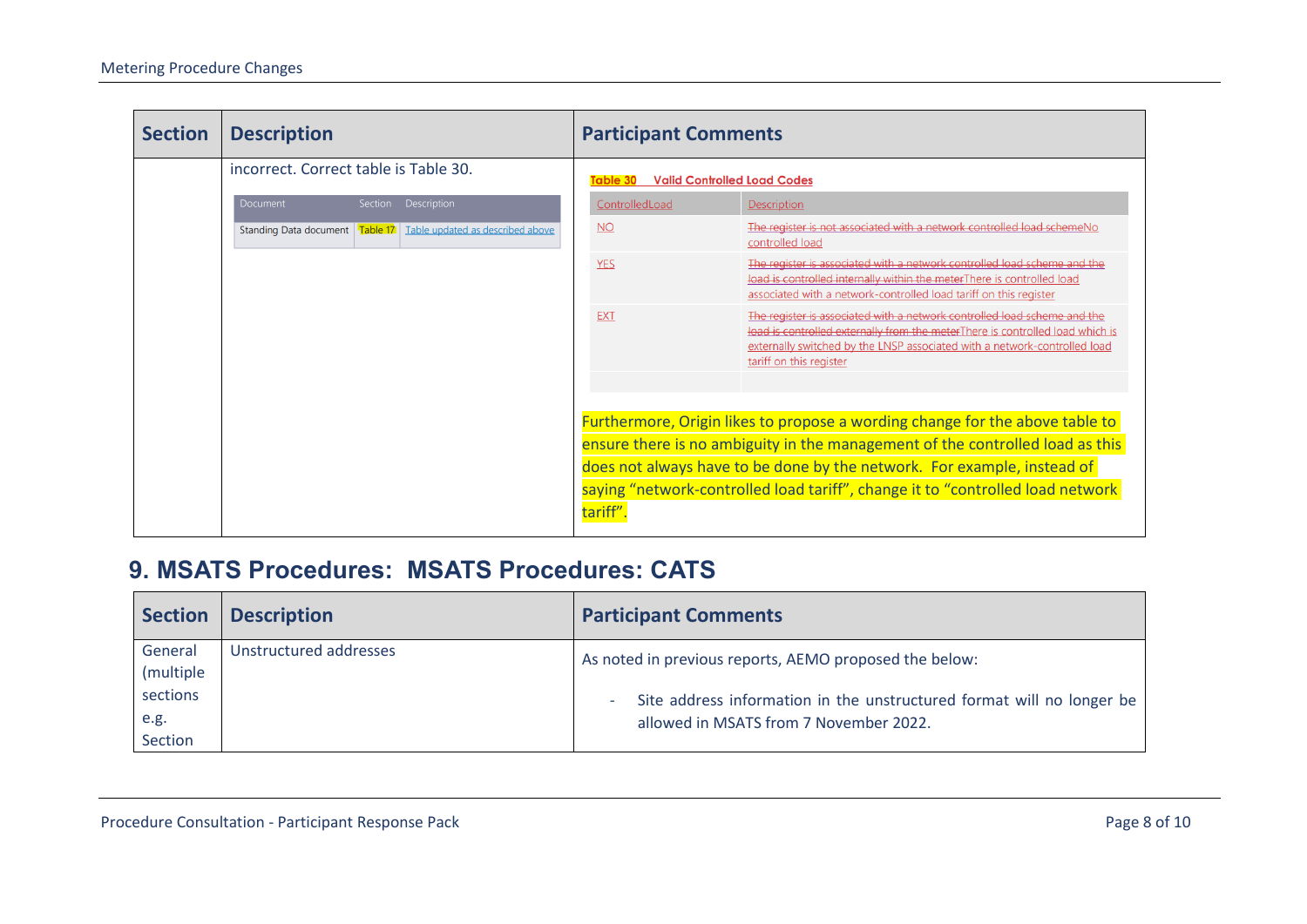| <b>Section</b> | <b>Description</b>                                                   | <b>Participant Comments</b> |                                                                                                                                                                                                                                                                   |  |  |
|----------------|----------------------------------------------------------------------|-----------------------------|-------------------------------------------------------------------------------------------------------------------------------------------------------------------------------------------------------------------------------------------------------------------|--|--|
|                | incorrect. Correct table is Table 30.                                | Table 30                    | <b>Valid Controlled Load Codes</b>                                                                                                                                                                                                                                |  |  |
|                | Document<br>Section<br>Description                                   | ControlledLoad              | Description                                                                                                                                                                                                                                                       |  |  |
|                | Standing Data document   Table 17   Table updated as described above | <b>NO</b>                   | The register is not associated with a network controlled load scheme No<br>controlled load                                                                                                                                                                        |  |  |
|                |                                                                      | <b>YES</b>                  | The register is associated with a network controlled load scheme and the<br>load is controlled internally within the meterThere is controlled load<br>associated with a network-controlled load tariff on this register                                           |  |  |
|                |                                                                      | <b>EXT</b>                  | The register is associated with a network controlled load scheme and the<br>load is controlled externally from the meterThere is controlled load which is<br>externally switched by the LNSP associated with a network-controlled load<br>tariff on this register |  |  |
|                |                                                                      |                             |                                                                                                                                                                                                                                                                   |  |  |
|                |                                                                      |                             | Furthermore, Origin likes to propose a wording change for the above table to                                                                                                                                                                                      |  |  |
|                |                                                                      |                             | ensure there is no ambiguity in the management of the controlled load as this                                                                                                                                                                                     |  |  |
|                |                                                                      |                             | does not always have to be done by the network. For example, instead of                                                                                                                                                                                           |  |  |
|                |                                                                      | tariff"                     | saying "network-controlled load tariff", change it to "controlled load network                                                                                                                                                                                    |  |  |

### **9. MSATS Procedures: MSATS Procedures: CATS**

<span id="page-7-0"></span>

| <b>Section</b>                                       | <b>Description</b>     | <b>Participant Comments</b>                                                                                                                                               |
|------------------------------------------------------|------------------------|---------------------------------------------------------------------------------------------------------------------------------------------------------------------------|
| General<br>(multiple)<br>sections<br>e.g.<br>Section | Unstructured addresses | As noted in previous reports, AEMO proposed the below:<br>Site address information in the unstructured format will no longer be<br>allowed in MSATS from 7 November 2022. |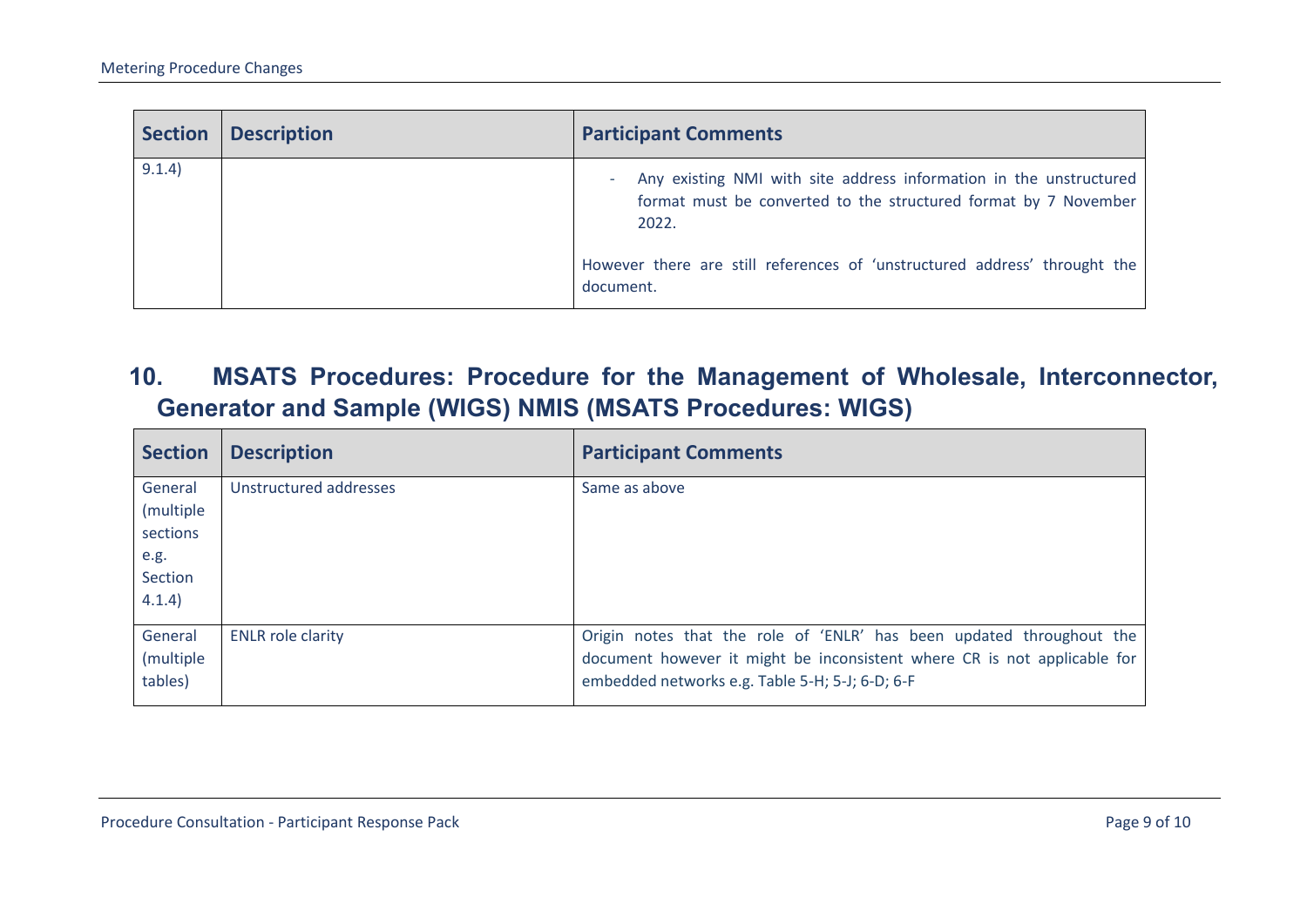| <b>Section</b> | <b>Description</b> | <b>Participant Comments</b>                                                                                                                         |
|----------------|--------------------|-----------------------------------------------------------------------------------------------------------------------------------------------------|
| 9.1.4)         |                    | Any existing NMI with site address information in the unstructured<br>٠<br>format must be converted to the structured format by 7 November<br>2022. |
|                |                    | However there are still references of 'unstructured address' throught the<br>document.                                                              |

**10. MSATS Procedures: Procedure for the Management of Wholesale, Interconnector, Generator and Sample (WIGS) NMIS (MSATS Procedures: WIGS)**

<span id="page-8-0"></span>

| <b>Section</b>                                                | <b>Description</b>       | <b>Participant Comments</b>                                                                                                                                                                         |
|---------------------------------------------------------------|--------------------------|-----------------------------------------------------------------------------------------------------------------------------------------------------------------------------------------------------|
| General<br>(multiple<br>sections<br>e.g.<br>Section<br>4.1.4) | Unstructured addresses   | Same as above                                                                                                                                                                                       |
| General<br>(multiple)<br>tables)                              | <b>ENLR</b> role clarity | Origin notes that the role of 'ENLR' has been updated throughout the<br>document however it might be inconsistent where CR is not applicable for<br>embedded networks e.g. Table 5-H; 5-J; 6-D; 6-F |